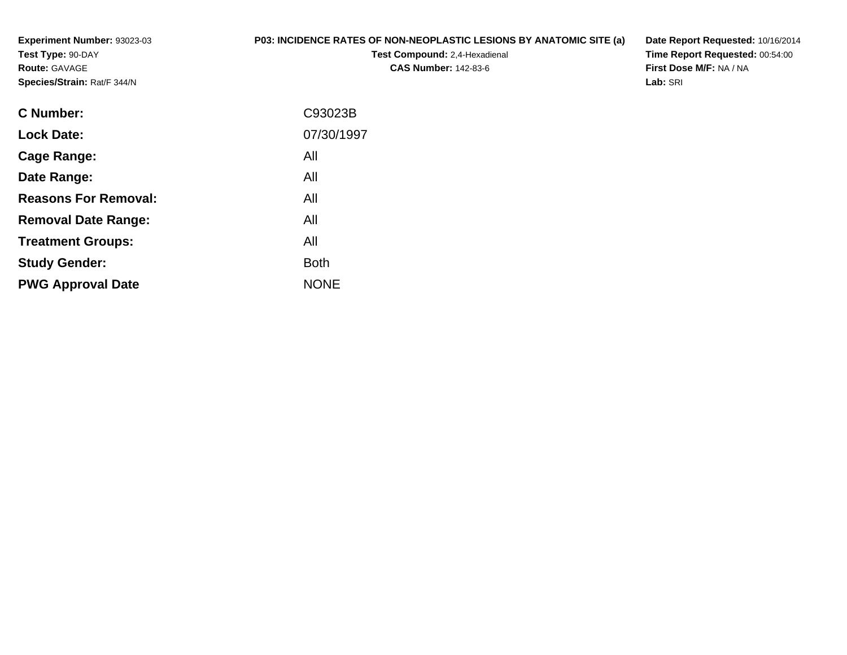**Experiment Number:** 93023-03**Test Type:** 90-DAY**Route:** GAVAGE**Species/Strain:** Rat/F 344/N

## **P03: INCIDENCE RATES OF NON-NEOPLASTIC LESIONS BY ANATOMIC SITE (a)**

**Test Compound:** 2,4-Hexadienal **CAS Number:** 142-83-6

**Date Report Requested:** 10/16/2014 **Time Report Requested:** 00:54:00**First Dose M/F:** NA / NA**Lab:** SRI

| C Number:                   | C93023B     |
|-----------------------------|-------------|
| <b>Lock Date:</b>           | 07/30/1997  |
| Cage Range:                 | All         |
| Date Range:                 | All         |
| <b>Reasons For Removal:</b> | All         |
| <b>Removal Date Range:</b>  | All         |
| <b>Treatment Groups:</b>    | All         |
| <b>Study Gender:</b>        | <b>Both</b> |
| <b>PWG Approval Date</b>    | <b>NONE</b> |
|                             |             |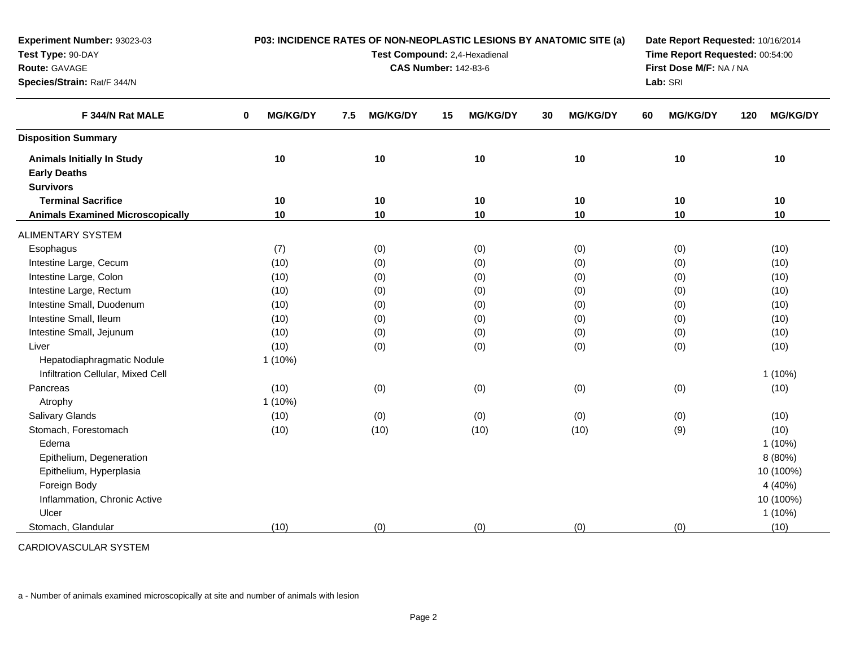| Experiment Number: 93023-03             | P03: INCIDENCE RATES OF NON-NEOPLASTIC LESIONS BY ANATOMIC SITE (a) | Date Report Requested: 10/16/2014<br>Time Report Requested: 00:54:00 |                         |                       |                       |                        |
|-----------------------------------------|---------------------------------------------------------------------|----------------------------------------------------------------------|-------------------------|-----------------------|-----------------------|------------------------|
| Test Type: 90-DAY<br>Route: GAVAGE      |                                                                     | Test Compound: 2,4-Hexadienal<br><b>CAS Number: 142-83-6</b>         | First Dose M/F: NA / NA |                       |                       |                        |
| Species/Strain: Rat/F 344/N             |                                                                     |                                                                      | Lab: SRI                |                       |                       |                        |
| F 344/N Rat MALE                        | <b>MG/KG/DY</b><br>0                                                | <b>MG/KG/DY</b><br>7.5                                               | <b>MG/KG/DY</b><br>15   | <b>MG/KG/DY</b><br>30 | <b>MG/KG/DY</b><br>60 | <b>MG/KG/DY</b><br>120 |
| <b>Disposition Summary</b>              |                                                                     |                                                                      |                         |                       |                       |                        |
| <b>Animals Initially In Study</b>       | 10                                                                  | 10                                                                   | 10                      | 10                    | 10                    | 10                     |
| <b>Early Deaths</b>                     |                                                                     |                                                                      |                         |                       |                       |                        |
| <b>Survivors</b>                        |                                                                     |                                                                      |                         |                       |                       |                        |
| <b>Terminal Sacrifice</b>               | 10                                                                  | 10                                                                   | 10                      | 10                    | 10                    | 10                     |
| <b>Animals Examined Microscopically</b> | 10                                                                  | 10                                                                   | 10                      | 10                    | 10                    | 10                     |
| <b>ALIMENTARY SYSTEM</b>                |                                                                     |                                                                      |                         |                       |                       |                        |
| Esophagus                               | (7)                                                                 | (0)                                                                  | (0)                     | (0)                   | (0)                   | (10)                   |
| Intestine Large, Cecum                  | (10)                                                                | (0)                                                                  | (0)                     | (0)                   | (0)                   | (10)                   |
| Intestine Large, Colon                  | (10)                                                                | (0)                                                                  | (0)                     | (0)                   | (0)                   | (10)                   |
| Intestine Large, Rectum                 | (10)                                                                | (0)                                                                  | (0)                     | (0)                   | (0)                   | (10)                   |
| Intestine Small, Duodenum               | (10)                                                                | (0)                                                                  | (0)                     | (0)                   | (0)                   | (10)                   |
| Intestine Small, Ileum                  | (10)                                                                | (0)                                                                  | (0)                     | (0)                   | (0)                   | (10)                   |
| Intestine Small, Jejunum                | (10)                                                                | (0)                                                                  | (0)                     | (0)                   | (0)                   | (10)                   |
| Liver                                   | (10)                                                                | (0)                                                                  | (0)                     | (0)                   | (0)                   | (10)                   |
| Hepatodiaphragmatic Nodule              | $1(10\%)$                                                           |                                                                      |                         |                       |                       |                        |
| Infiltration Cellular, Mixed Cell       |                                                                     |                                                                      |                         |                       |                       | $1(10\%)$              |
| Pancreas                                | (10)                                                                | (0)                                                                  | (0)                     | (0)                   | (0)                   | (10)                   |
| Atrophy                                 | $1(10\%)$                                                           |                                                                      |                         |                       |                       |                        |
| Salivary Glands                         | (10)                                                                | (0)                                                                  | (0)                     | (0)                   | (0)                   | (10)                   |
| Stomach, Forestomach                    | (10)                                                                | (10)                                                                 | (10)                    | (10)                  | (9)                   | (10)                   |
| Edema                                   |                                                                     |                                                                      |                         |                       |                       | $1(10\%)$              |
| Epithelium, Degeneration                |                                                                     |                                                                      |                         |                       |                       | 8(80%)                 |
| Epithelium, Hyperplasia                 |                                                                     |                                                                      |                         |                       |                       | 10 (100%)              |
| Foreign Body                            |                                                                     |                                                                      |                         |                       |                       | 4 (40%)                |
| Inflammation, Chronic Active            |                                                                     |                                                                      |                         |                       |                       | 10 (100%)              |
| Ulcer                                   |                                                                     |                                                                      |                         |                       |                       | $1(10\%)$              |
| Stomach, Glandular                      | (10)                                                                | (0)                                                                  | (0)                     | (0)                   | (0)                   | (10)                   |

CARDIOVASCULAR SYSTEM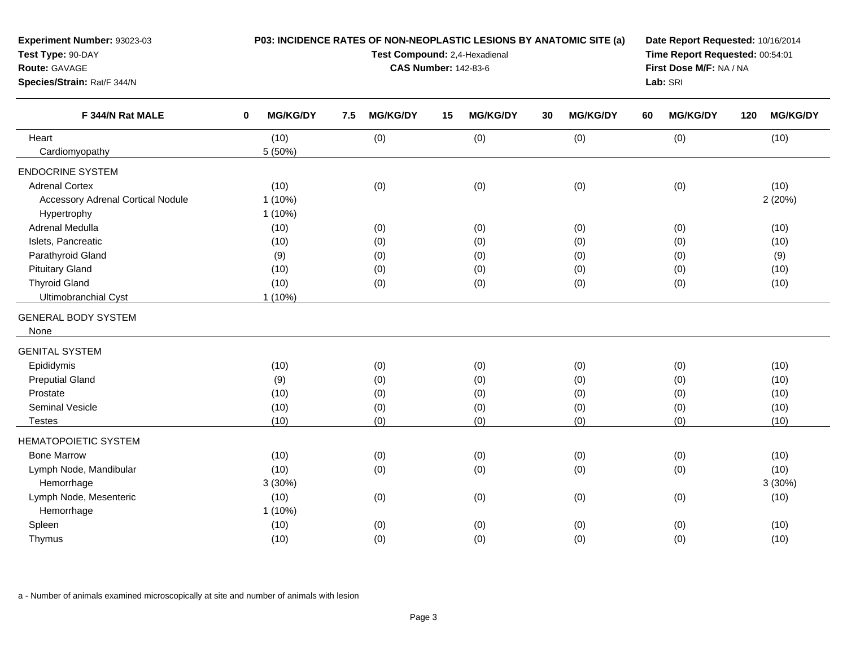| Test Type: 90-DAY                        |                                |                        | Test Compound: 2,4-Hexadienal |                         | Time Report Requested: 00:54:01 |                        |  |  |  |
|------------------------------------------|--------------------------------|------------------------|-------------------------------|-------------------------|---------------------------------|------------------------|--|--|--|
| Route: GAVAGE                            |                                |                        | <b>CAS Number: 142-83-6</b>   | First Dose M/F: NA / NA |                                 |                        |  |  |  |
| Species/Strain: Rat/F 344/N              |                                |                        |                               |                         |                                 |                        |  |  |  |
| F 344/N Rat MALE                         | <b>MG/KG/DY</b><br>$\mathbf 0$ | <b>MG/KG/DY</b><br>7.5 | <b>MG/KG/DY</b><br>15         | <b>MG/KG/DY</b><br>30   | <b>MG/KG/DY</b><br>60           | <b>MG/KG/DY</b><br>120 |  |  |  |
| Heart                                    | (10)                           | (0)                    | (0)                           | (0)                     | (0)                             | (10)                   |  |  |  |
| Cardiomyopathy                           | 5 (50%)                        |                        |                               |                         |                                 |                        |  |  |  |
| <b>ENDOCRINE SYSTEM</b>                  |                                |                        |                               |                         |                                 |                        |  |  |  |
| <b>Adrenal Cortex</b>                    | (10)                           | (0)                    | (0)                           | (0)                     | (0)                             | (10)                   |  |  |  |
| <b>Accessory Adrenal Cortical Nodule</b> | $1(10\%)$                      |                        |                               |                         |                                 | 2(20%)                 |  |  |  |
| Hypertrophy                              | $1(10\%)$                      |                        |                               |                         |                                 |                        |  |  |  |
| Adrenal Medulla                          | (10)                           | (0)                    | (0)                           | (0)                     | (0)                             | (10)                   |  |  |  |
| Islets, Pancreatic                       | (10)                           | (0)                    | (0)                           | (0)                     | (0)                             | (10)                   |  |  |  |
| Parathyroid Gland                        | (9)                            | (0)                    | (0)                           | (0)                     | (0)                             | (9)                    |  |  |  |
| <b>Pituitary Gland</b>                   | (10)                           | (0)                    | (0)                           | (0)                     | (0)                             | (10)                   |  |  |  |
| <b>Thyroid Gland</b>                     | (10)                           | (0)                    | (0)                           | (0)                     | (0)                             | (10)                   |  |  |  |
| Ultimobranchial Cyst                     | $1(10\%)$                      |                        |                               |                         |                                 |                        |  |  |  |
| <b>GENERAL BODY SYSTEM</b>               |                                |                        |                               |                         |                                 |                        |  |  |  |
| None                                     |                                |                        |                               |                         |                                 |                        |  |  |  |
| <b>GENITAL SYSTEM</b>                    |                                |                        |                               |                         |                                 |                        |  |  |  |
| Epididymis                               | (10)                           | (0)                    | (0)                           | (0)                     | (0)                             | (10)                   |  |  |  |
| <b>Preputial Gland</b>                   | (9)                            | (0)                    | (0)                           | (0)                     | (0)                             | (10)                   |  |  |  |
| Prostate                                 | (10)                           | (0)                    | (0)                           | (0)                     | (0)                             | (10)                   |  |  |  |
| Seminal Vesicle                          | (10)                           | (0)                    | (0)                           | (0)                     | (0)                             | (10)                   |  |  |  |
| <b>Testes</b>                            | (10)                           | (0)                    | (0)                           | (0)                     | (0)                             | (10)                   |  |  |  |
|                                          |                                |                        |                               |                         |                                 |                        |  |  |  |
| <b>HEMATOPOIETIC SYSTEM</b>              |                                |                        |                               |                         |                                 |                        |  |  |  |
| <b>Bone Marrow</b>                       | (10)                           | (0)                    | (0)                           | (0)                     | (0)                             | (10)                   |  |  |  |
| Lymph Node, Mandibular                   | (10)                           | (0)                    | (0)                           | (0)                     | (0)                             | (10)                   |  |  |  |
| Hemorrhage                               | 3(30%)                         |                        |                               |                         |                                 | 3(30%)                 |  |  |  |
| Lymph Node, Mesenteric                   | (10)                           | (0)                    | (0)                           | (0)                     | (0)                             | (10)                   |  |  |  |
| Hemorrhage                               | $1(10\%)$                      |                        |                               |                         |                                 |                        |  |  |  |
| Spleen                                   | (10)                           | (0)                    | (0)                           | (0)                     | (0)                             | (10)                   |  |  |  |
| Thymus                                   | (10)                           | (0)                    | (0)                           | (0)                     | (0)                             | (10)                   |  |  |  |

**P03: INCIDENCE RATES OF NON-NEOPLASTIC LESIONS BY ANATOMIC SITE (a)**

**Date Report Requested:** 10/16/2014

a - Number of animals examined microscopically at site and number of animals with lesion

**Experiment Number:** 93023-03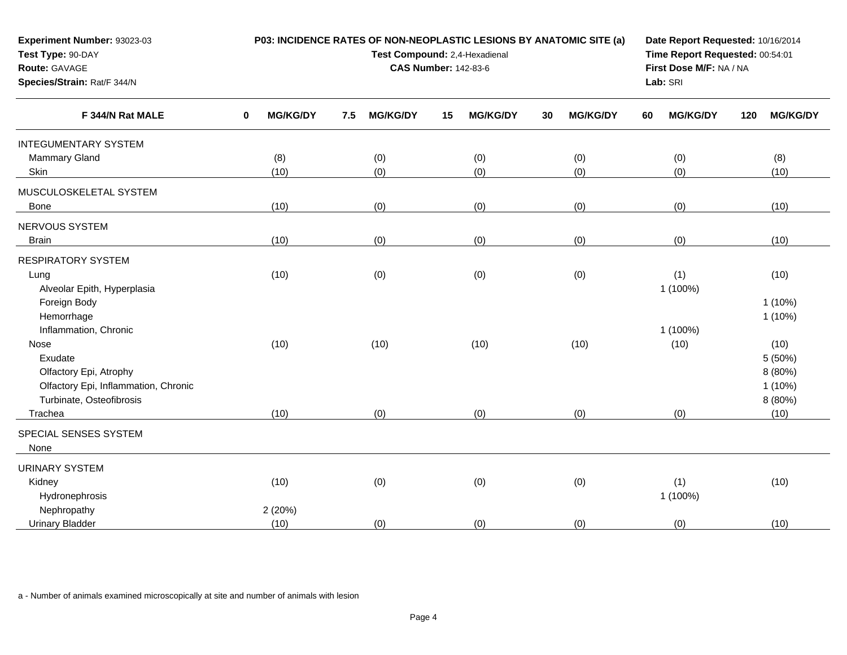| Experiment Number: 93023-03<br>Test Type: 90-DAY<br>Route: GAVAGE<br>Species/Strain: Rat/F 344/N | P03: INCIDENCE RATES OF NON-NEOPLASTIC LESIONS BY ANATOMIC SITE (a)<br>Test Compound: 2,4-Hexadienal<br><b>CAS Number: 142-83-6</b> |                 |     |                 |    |                 |    |                 |    | Date Report Requested: 10/16/2014<br>Time Report Requested: 00:54:01<br>First Dose M/F: NA / NA<br>Lab: SRI |     |                 |  |
|--------------------------------------------------------------------------------------------------|-------------------------------------------------------------------------------------------------------------------------------------|-----------------|-----|-----------------|----|-----------------|----|-----------------|----|-------------------------------------------------------------------------------------------------------------|-----|-----------------|--|
| F 344/N Rat MALE                                                                                 | 0                                                                                                                                   | <b>MG/KG/DY</b> | 7.5 | <b>MG/KG/DY</b> | 15 | <b>MG/KG/DY</b> | 30 | <b>MG/KG/DY</b> | 60 | <b>MG/KG/DY</b>                                                                                             | 120 | <b>MG/KG/DY</b> |  |
| <b>INTEGUMENTARY SYSTEM</b>                                                                      |                                                                                                                                     |                 |     |                 |    |                 |    |                 |    |                                                                                                             |     |                 |  |
| Mammary Gland                                                                                    |                                                                                                                                     | (8)             |     | (0)             |    | (0)             |    | (0)             |    | (0)                                                                                                         |     | (8)             |  |
| Skin                                                                                             |                                                                                                                                     | (10)            |     | (0)             |    | (0)             |    | (0)             |    | (0)                                                                                                         |     | (10)            |  |
| MUSCULOSKELETAL SYSTEM                                                                           |                                                                                                                                     |                 |     |                 |    |                 |    |                 |    |                                                                                                             |     |                 |  |
| <b>Bone</b>                                                                                      |                                                                                                                                     | (10)            |     | (0)             |    | (0)             |    | (0)             |    | (0)                                                                                                         |     | (10)            |  |
| NERVOUS SYSTEM                                                                                   |                                                                                                                                     |                 |     |                 |    |                 |    |                 |    |                                                                                                             |     |                 |  |
| <b>Brain</b>                                                                                     |                                                                                                                                     | (10)            |     | (0)             |    | (0)             |    | (0)             |    | (0)                                                                                                         |     | (10)            |  |
| <b>RESPIRATORY SYSTEM</b>                                                                        |                                                                                                                                     |                 |     |                 |    |                 |    |                 |    |                                                                                                             |     |                 |  |
| Lung                                                                                             |                                                                                                                                     | (10)            |     | (0)             |    | (0)             |    | (0)             |    | (1)                                                                                                         |     | (10)            |  |
| Alveolar Epith, Hyperplasia                                                                      |                                                                                                                                     |                 |     |                 |    |                 |    |                 |    | 1 (100%)                                                                                                    |     |                 |  |
| Foreign Body                                                                                     |                                                                                                                                     |                 |     |                 |    |                 |    |                 |    |                                                                                                             |     | $1(10\%)$       |  |
| Hemorrhage                                                                                       |                                                                                                                                     |                 |     |                 |    |                 |    |                 |    |                                                                                                             |     | $1(10\%)$       |  |
| Inflammation, Chronic                                                                            |                                                                                                                                     |                 |     |                 |    |                 |    |                 |    | 1 (100%)                                                                                                    |     |                 |  |
| Nose                                                                                             |                                                                                                                                     | (10)            |     | (10)            |    | (10)            |    | (10)            |    | (10)                                                                                                        |     | (10)            |  |
| Exudate                                                                                          |                                                                                                                                     |                 |     |                 |    |                 |    |                 |    |                                                                                                             |     | 5 (50%)         |  |
| Olfactory Epi, Atrophy                                                                           |                                                                                                                                     |                 |     |                 |    |                 |    |                 |    |                                                                                                             |     | 8 (80%)         |  |
| Olfactory Epi, Inflammation, Chronic                                                             |                                                                                                                                     |                 |     |                 |    |                 |    |                 |    |                                                                                                             |     | $1(10\%)$       |  |
| Turbinate, Osteofibrosis                                                                         |                                                                                                                                     |                 |     |                 |    |                 |    |                 |    |                                                                                                             |     | 8 (80%)         |  |
| Trachea                                                                                          |                                                                                                                                     | (10)            |     | (0)             |    | (0)             |    | (0)             |    | (0)                                                                                                         |     | (10)            |  |
| SPECIAL SENSES SYSTEM<br>None                                                                    |                                                                                                                                     |                 |     |                 |    |                 |    |                 |    |                                                                                                             |     |                 |  |
| <b>URINARY SYSTEM</b>                                                                            |                                                                                                                                     |                 |     |                 |    |                 |    |                 |    |                                                                                                             |     |                 |  |
| Kidney                                                                                           |                                                                                                                                     | (10)            |     | (0)             |    | (0)             |    | (0)             |    | (1)                                                                                                         |     | (10)            |  |
| Hydronephrosis                                                                                   |                                                                                                                                     |                 |     |                 |    |                 |    |                 |    | 1 (100%)                                                                                                    |     |                 |  |
| Nephropathy                                                                                      |                                                                                                                                     | 2 (20%)         |     |                 |    |                 |    |                 |    |                                                                                                             |     |                 |  |
| <b>Urinary Bladder</b>                                                                           |                                                                                                                                     | (10)            |     | (0)             |    | (0)             |    | (0)             |    | (0)                                                                                                         |     | (10)            |  |
|                                                                                                  |                                                                                                                                     |                 |     |                 |    |                 |    |                 |    |                                                                                                             |     |                 |  |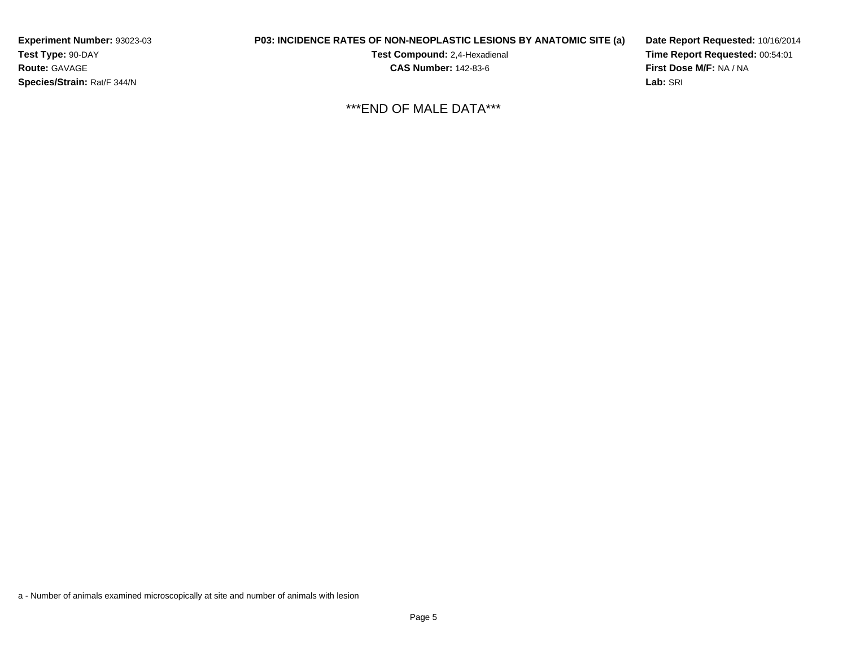**Experiment Number:** 93023-03**Test Type:** 90-DAY**Route:** GAVAGE**Species/Strain:** Rat/F 344/N

## **P03: INCIDENCE RATES OF NON-NEOPLASTIC LESIONS BY ANATOMIC SITE (a)**

**Test Compound:** 2,4-Hexadienal **CAS Number:** 142-83-6

**Date Report Requested:** 10/16/2014**Time Report Requested:** 00:54:01**First Dose M/F:** NA / NA**Lab:** SRI

\*\*\*END OF MALE DATA\*\*\*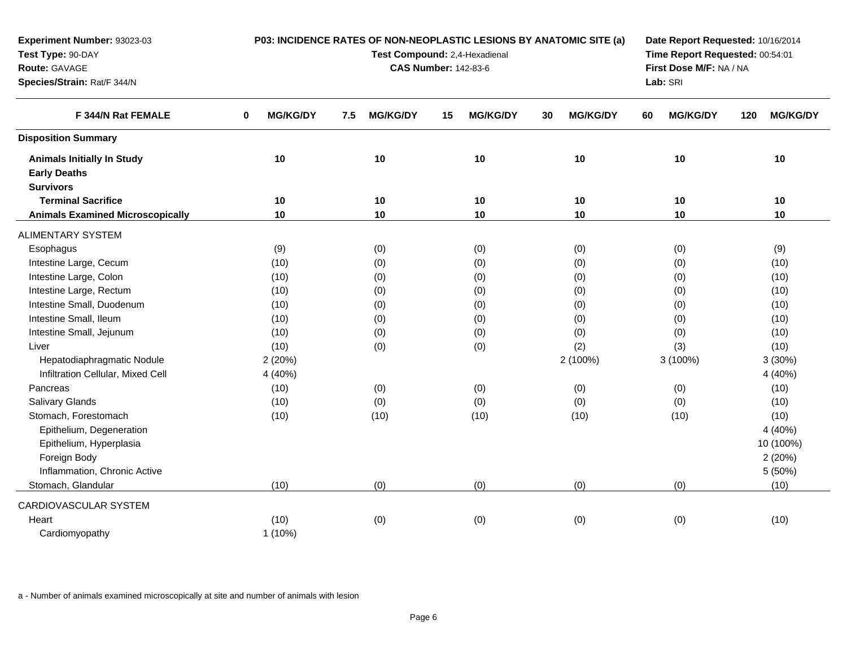| Experiment Number: 93023-03             |                      | P03: INCIDENCE RATES OF NON-NEOPLASTIC LESIONS BY ANATOMIC SITE (a) | Date Report Requested: 10/16/2014 |                       |                       |                        |
|-----------------------------------------|----------------------|---------------------------------------------------------------------|-----------------------------------|-----------------------|-----------------------|------------------------|
| Test Type: 90-DAY                       |                      | Test Compound: 2,4-Hexadienal                                       | Time Report Requested: 00:54:01   |                       |                       |                        |
| Route: GAVAGE                           |                      | <b>CAS Number: 142-83-6</b>                                         | First Dose M/F: NA / NA           |                       |                       |                        |
| Species/Strain: Rat/F 344/N             |                      |                                                                     | Lab: SRI                          |                       |                       |                        |
| F 344/N Rat FEMALE                      | <b>MG/KG/DY</b><br>0 | <b>MG/KG/DY</b><br>7.5                                              | <b>MG/KG/DY</b><br>15             | <b>MG/KG/DY</b><br>30 | <b>MG/KG/DY</b><br>60 | <b>MG/KG/DY</b><br>120 |
| <b>Disposition Summary</b>              |                      |                                                                     |                                   |                       |                       |                        |
| <b>Animals Initially In Study</b>       | 10                   | 10                                                                  | 10                                | 10                    | 10                    | 10                     |
| <b>Early Deaths</b>                     |                      |                                                                     |                                   |                       |                       |                        |
| <b>Survivors</b>                        |                      |                                                                     |                                   |                       |                       |                        |
| <b>Terminal Sacrifice</b>               | 10                   | 10                                                                  | 10                                | 10                    | 10                    | 10                     |
| <b>Animals Examined Microscopically</b> | 10                   | 10                                                                  | 10                                | 10                    | 10                    | 10                     |
| <b>ALIMENTARY SYSTEM</b>                |                      |                                                                     |                                   |                       |                       |                        |
| Esophagus                               | (9)                  | (0)                                                                 | (0)                               | (0)                   | (0)                   | (9)                    |
| Intestine Large, Cecum                  | (10)                 | (0)                                                                 | (0)                               | (0)                   | (0)                   | (10)                   |
| Intestine Large, Colon                  | (10)                 | (0)                                                                 | (0)                               | (0)                   | (0)                   | (10)                   |
| Intestine Large, Rectum                 | (10)                 | (0)                                                                 | (0)                               | (0)                   | (0)                   | (10)                   |
| Intestine Small, Duodenum               | (10)                 | (0)                                                                 | (0)                               | (0)                   | (0)                   | (10)                   |
| Intestine Small, Ileum                  | (10)                 | (0)                                                                 | (0)                               | (0)                   | (0)                   | (10)                   |
| Intestine Small, Jejunum                | (10)                 | (0)                                                                 | (0)                               | (0)                   | (0)                   | (10)                   |
| Liver                                   | (10)                 | (0)                                                                 | (0)                               | (2)                   | (3)                   | (10)                   |
| Hepatodiaphragmatic Nodule              | 2(20%)               |                                                                     |                                   | 2 (100%)              | 3 (100%)              | 3(30%)                 |
| Infiltration Cellular, Mixed Cell       | 4 (40%)              |                                                                     |                                   |                       |                       | 4 (40%)                |
| Pancreas                                | (10)                 | (0)                                                                 | (0)                               | (0)                   | (0)                   | (10)                   |
| Salivary Glands                         | (10)                 | (0)                                                                 | (0)                               | (0)                   | (0)                   | (10)                   |
| Stomach, Forestomach                    | (10)                 | (10)                                                                | (10)                              | (10)                  | (10)                  | (10)                   |
| Epithelium, Degeneration                |                      |                                                                     |                                   |                       |                       | 4 (40%)                |
| Epithelium, Hyperplasia                 |                      |                                                                     |                                   |                       |                       | 10 (100%)              |
| Foreign Body                            |                      |                                                                     |                                   |                       |                       | 2(20%)                 |
| Inflammation, Chronic Active            |                      |                                                                     |                                   |                       |                       | 5 (50%)                |
| Stomach, Glandular                      | (10)                 | (0)                                                                 | (0)                               | (0)                   | (0)                   | (10)                   |
| CARDIOVASCULAR SYSTEM                   |                      |                                                                     |                                   |                       |                       |                        |
| Heart                                   | (10)                 | (0)                                                                 | (0)                               | (0)                   | (0)                   | (10)                   |
| Cardiomyopathy                          | $1(10\%)$            |                                                                     |                                   |                       |                       |                        |
|                                         |                      |                                                                     |                                   |                       |                       |                        |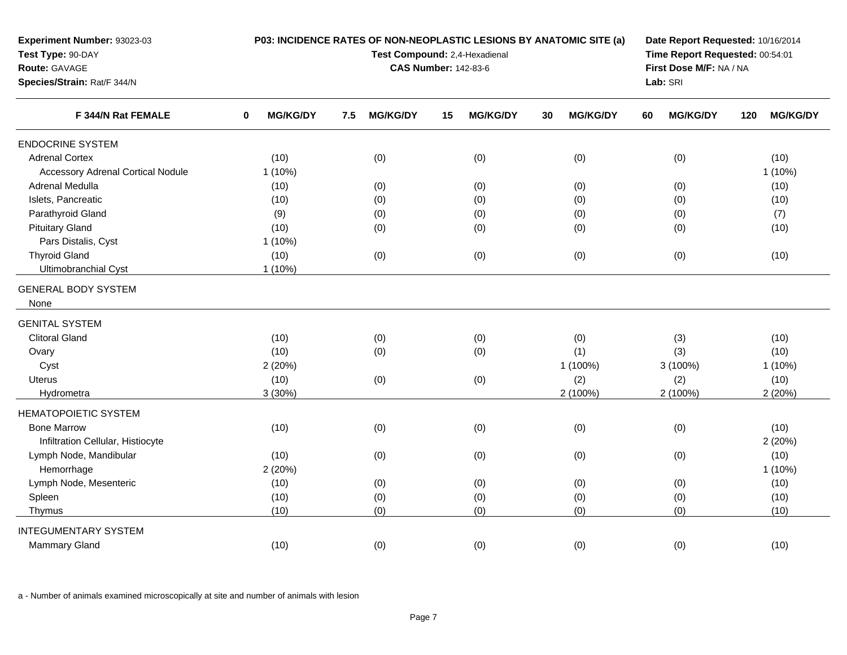| Experiment Number: 93023-03<br>Test Type: 90-DAY<br>Route: GAVAGE<br>Species/Strain: Rat/F 344/N | P03: INCIDENCE RATES OF NON-NEOPLASTIC LESIONS BY ANATOMIC SITE (a)<br>Test Compound: 2,4-Hexadienal<br><b>CAS Number: 142-83-6</b> |                        |                 |    |                 |    |                 |    | Date Report Requested: 10/16/2014<br>Time Report Requested: 00:54:01<br>First Dose M/F: NA / NA<br>Lab: SRI |     |                 |  |
|--------------------------------------------------------------------------------------------------|-------------------------------------------------------------------------------------------------------------------------------------|------------------------|-----------------|----|-----------------|----|-----------------|----|-------------------------------------------------------------------------------------------------------------|-----|-----------------|--|
| F 344/N Rat FEMALE                                                                               | $\bf{0}$                                                                                                                            | <b>MG/KG/DY</b><br>7.5 | <b>MG/KG/DY</b> | 15 | <b>MG/KG/DY</b> | 30 | <b>MG/KG/DY</b> | 60 | <b>MG/KG/DY</b>                                                                                             | 120 | <b>MG/KG/DY</b> |  |
| <b>ENDOCRINE SYSTEM</b>                                                                          |                                                                                                                                     |                        |                 |    |                 |    |                 |    |                                                                                                             |     |                 |  |
| <b>Adrenal Cortex</b>                                                                            | (10)                                                                                                                                |                        | (0)             |    | (0)             |    | (0)             |    | (0)                                                                                                         |     | (10)            |  |
| <b>Accessory Adrenal Cortical Nodule</b>                                                         | $1(10\%)$                                                                                                                           |                        |                 |    |                 |    |                 |    |                                                                                                             |     | $1(10\%)$       |  |
| Adrenal Medulla                                                                                  | (10)                                                                                                                                |                        | (0)             |    | (0)             |    | (0)             |    | (0)                                                                                                         |     | (10)            |  |
| Islets, Pancreatic                                                                               | (10)                                                                                                                                |                        | (0)             |    | (0)             |    | (0)             |    | (0)                                                                                                         |     | (10)            |  |
| Parathyroid Gland                                                                                | (9)                                                                                                                                 |                        | (0)             |    | (0)             |    | (0)             |    | (0)                                                                                                         |     | (7)             |  |
| <b>Pituitary Gland</b>                                                                           | (10)                                                                                                                                |                        | (0)             |    | (0)             |    | (0)             |    | (0)                                                                                                         |     | (10)            |  |
| Pars Distalis, Cyst                                                                              | 1(10%)                                                                                                                              |                        |                 |    |                 |    |                 |    |                                                                                                             |     |                 |  |
| <b>Thyroid Gland</b>                                                                             | (10)                                                                                                                                |                        | (0)             |    | (0)             |    | (0)             |    | (0)                                                                                                         |     | (10)            |  |
| Ultimobranchial Cyst                                                                             | $1(10\%)$                                                                                                                           |                        |                 |    |                 |    |                 |    |                                                                                                             |     |                 |  |
| <b>GENERAL BODY SYSTEM</b><br>None                                                               |                                                                                                                                     |                        |                 |    |                 |    |                 |    |                                                                                                             |     |                 |  |
| <b>GENITAL SYSTEM</b>                                                                            |                                                                                                                                     |                        |                 |    |                 |    |                 |    |                                                                                                             |     |                 |  |
| <b>Clitoral Gland</b>                                                                            | (10)                                                                                                                                |                        | (0)             |    | (0)             |    | (0)             |    | (3)                                                                                                         |     | (10)            |  |
| Ovary                                                                                            | (10)                                                                                                                                |                        | (0)             |    | (0)             |    | (1)             |    | (3)                                                                                                         |     | (10)            |  |
| Cyst                                                                                             | 2(20%)                                                                                                                              |                        |                 |    |                 |    | 1 (100%)        |    | 3 (100%)                                                                                                    |     | $1(10\%)$       |  |
| <b>Uterus</b>                                                                                    | (10)                                                                                                                                |                        | (0)             |    | (0)             |    | (2)             |    | (2)                                                                                                         |     | (10)            |  |
| Hydrometra                                                                                       | 3(30%)                                                                                                                              |                        |                 |    |                 |    | 2 (100%)        |    | 2 (100%)                                                                                                    |     | 2(20%)          |  |
| <b>HEMATOPOIETIC SYSTEM</b>                                                                      |                                                                                                                                     |                        |                 |    |                 |    |                 |    |                                                                                                             |     |                 |  |
| <b>Bone Marrow</b>                                                                               | (10)                                                                                                                                |                        | (0)             |    | (0)             |    | (0)             |    | (0)                                                                                                         |     | (10)            |  |
| Infiltration Cellular, Histiocyte                                                                |                                                                                                                                     |                        |                 |    |                 |    |                 |    |                                                                                                             |     | 2(20%)          |  |
| Lymph Node, Mandibular                                                                           | (10)                                                                                                                                |                        | (0)             |    | (0)             |    | (0)             |    | (0)                                                                                                         |     | (10)            |  |
| Hemorrhage                                                                                       | 2(20%)                                                                                                                              |                        |                 |    |                 |    |                 |    |                                                                                                             |     | $1(10\%)$       |  |
| Lymph Node, Mesenteric                                                                           | (10)                                                                                                                                |                        | (0)             |    | (0)             |    | (0)             |    | (0)                                                                                                         |     | (10)            |  |
| Spleen                                                                                           | (10)                                                                                                                                |                        | (0)             |    | (0)             |    | (0)             |    | (0)                                                                                                         |     | (10)            |  |
| Thymus                                                                                           | (10)                                                                                                                                |                        | (0)             |    | (0)             |    | (0)             |    | (0)                                                                                                         |     | (10)            |  |
| <b>INTEGUMENTARY SYSTEM</b>                                                                      |                                                                                                                                     |                        |                 |    |                 |    |                 |    |                                                                                                             |     |                 |  |
| Mammary Gland                                                                                    | (10)                                                                                                                                |                        | (0)             |    | (0)             |    | (0)             |    | (0)                                                                                                         |     | (10)            |  |